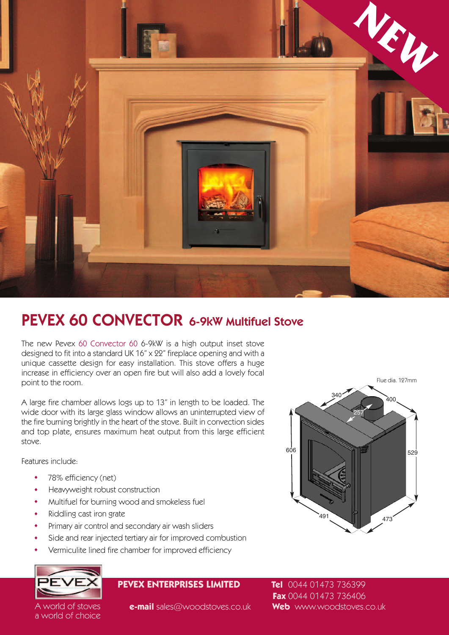

## **PEVEX 60 CONVECTOR 6-9kW Multifuel Stove**

The new Pevex 60 Convector 60 6-9kW is a high output inset stove designed to fit into a standard UK 16" x 22" fireplace opening and with a unique cassette design for easy installation. This stove offers a huge increase in efficiency over an open fire but will also add a lovely focal point to the room.

A large fire chamber allows logs up to 13" in length to be loaded. The wide door with its large glass window allows an uninterrupted view of the fire burning brightly in the heart of the stove. Built in convection sides and top plate, ensures maximum heat output from this large efficient stove.

Features include:

- . 78% efficiency (net)
- . Heavyweight robust construction
- Heavyweight robust construction<br>• Multifuel for burning wood and smokeless fuel • Multifuel for burning w<br>• Riddling cast iron grate
- 
- . Primary air control and secondary air wash sliders
- Primary air control and secondary air wash sliders<br>• Side and rear injected tertiary air for improved combustion • Side and rear injected tertiary air for improved combu:<br>• Vermiculite lined fire chamber for improved efficiency
- 



a world of choice

## **PEVEX ENTERPRISES LIMITED Tel** 0044 01473 736399



**Fax** 0044 01473 736406 A world of stoves **e-mail** sales@woodstoves.co.uk **Web** www.woodstoves.co.uk